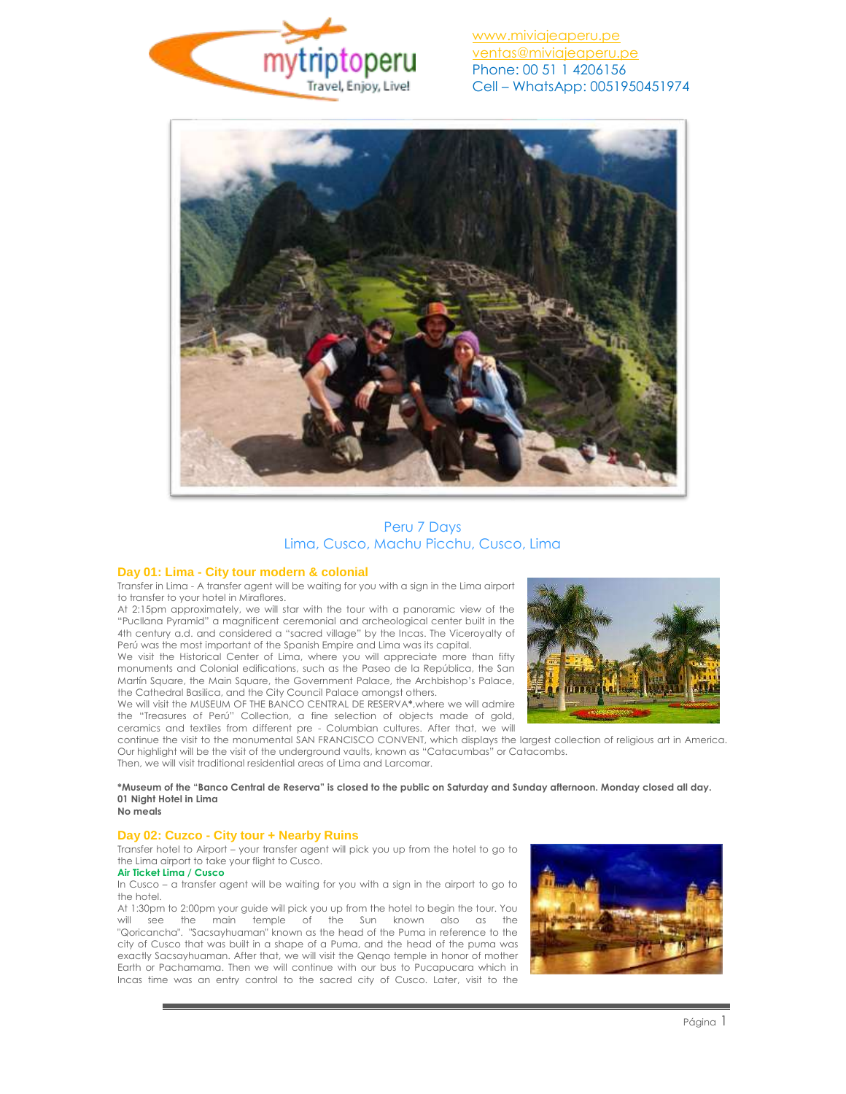



# Peru 7 Days Lima, Cusco, Machu Picchu, Cusco, Lima

#### **Day 01: Lima - City tour modern & colonial**

Transfer in Lima - A transfer agent will be waiting for you with a sign in the Lima airport to transfer to your hotel in Miraflores.

At 2:15pm approximately, we will star with the tour with a panoramic view of the "Pucllana Pyramid" a magnificent ceremonial and archeological center built in the 4th century a.d. and considered a "sacred village" by the Incas. The Viceroyalty of Perú was the most important of the Spanish Empire and Lima was its capital.

We visit the Historical Center of Lima, where you will appreciate more than fifty monuments and Colonial edifications, such as the Paseo de la República, the San Martín Square, the Main Square, the Government Palace, the Archbishop's Palace, the Cathedral Basilica, and the City Council Palace amongst others.

We will visit the MUSEUM OF THE BANCO CENTRAL DE RESERVA**\***,where we will admire the "Treasures of Perú" Collection, a fine selection of objects made of gold, ceramics and textiles from different pre - Columbian cultures. After that, we will



continue the visit to the monumental SAN FRANCISCO CONVENT, which displays the largest collection of religious art in America. Our highlight will be the visit of the underground vaults, known as "Catacumbas" or Catacombs. Then, we will visit traditional residential areas of Lima and Larcomar.

#### **\*Museum of the "Banco Central de Reserva" is closed to the public on Saturday and Sunday afternoon. Monday closed all day. 01 Night Hotel in Lima No meals**

# **Day 02: Cuzco - City tour + Nearby Ruins**

Transfer hotel to Airport – your transfer agent will pick you up from the hotel to go to the Lima airport to take your flight to Cusco.

### **Air Ticket Lima / Cusco**

In Cusco – a transfer agent will be waiting for you with a sign in the airport to go to the hotel.

At 1:30pm to 2:00pm your guide will pick you up from the hotel to begin the tour. You will see the main temple of the Sun known also as the "Qoricancha". "Sacsayhuaman" known as the head of the Puma in reference to the city of Cusco that was built in a shape of a Puma, and the head of the puma was exactly Sacsayhuaman. After that, we will visit the Qenqo temple in honor of mother Earth or Pachamama. Then we will continue with our bus to Pucapucara which in Incas time was an entry control to the sacred city of Cusco. Later, visit to the

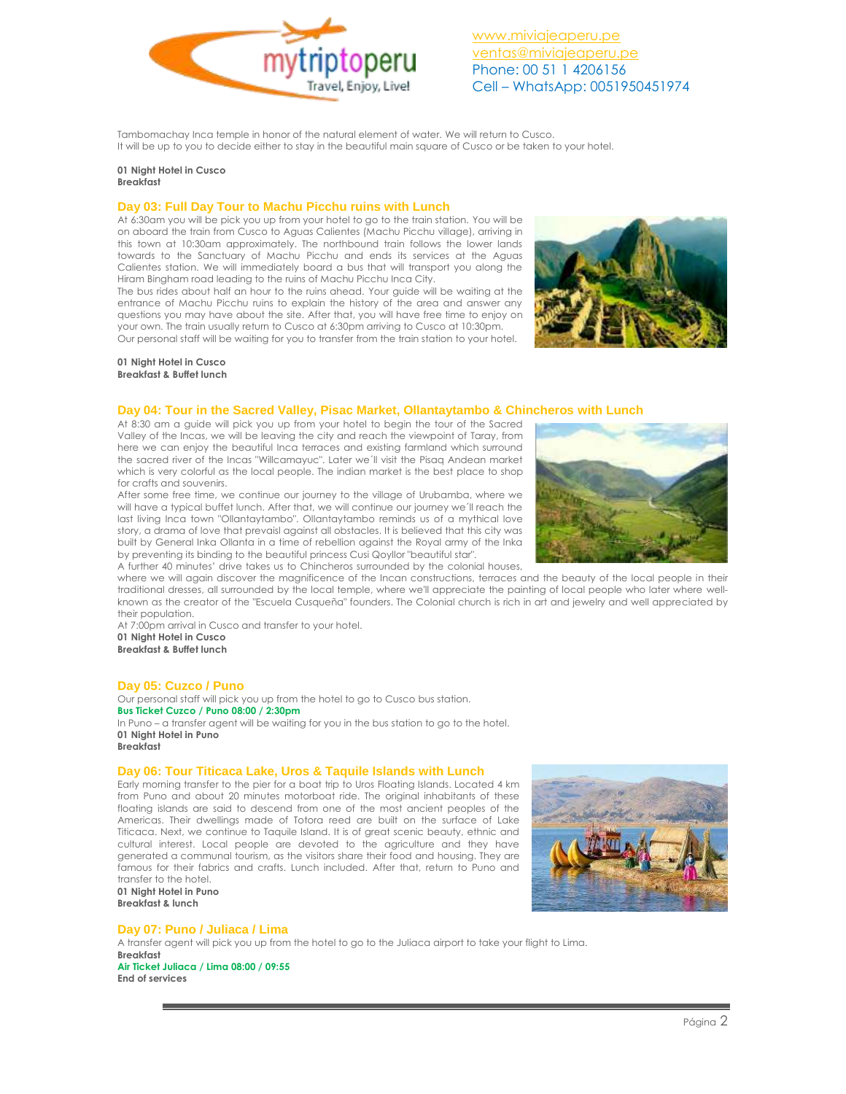

Tambomachay Inca temple in honor of the natural element of water. We will return to Cusco. It will be up to you to decide either to stay in the beautiful main square of Cusco or be taken to your hotel.

# **01 Night Hotel in Cusco**

**Breakfast**

## **Day 03: Full Day Tour to Machu Picchu ruins with Lunch**

At 6:30am you will be pick you up from your hotel to go to the train station. You will be on aboard the train from Cusco to Aguas Calientes (Machu Picchu village), arriving in this town at 10:30am approximately. The northbound train follows the lower lands towards to the Sanctuary of Machu Picchu and ends its services at the Aguas Calientes station. We will immediately board a bus that will transport you along the Hiram Bingham road leading to the ruins of Machu Picchu Inca City.

The bus rides about half an hour to the ruins ahead. Your guide will be waiting at the entrance of Machu Picchu ruins to explain the history of the area and answer any questions you may have about the site. After that, you will have free time to enjoy on your own. The train usually return to Cusco at 6:30pm arriving to Cusco at 10:30pm. Our personal staff will be waiting for you to transfer from the train station to your hotel.



#### **01 Night Hotel in Cusco Breakfast & Buffet lunch**

## **Day 04: Tour in the Sacred Valley, Pisac Market, Ollantaytambo & Chincheros with Lunch**

At 8:30 am a guide will pick you up from your hotel to begin the tour of the Sacred Valley of the Incas, we will be leaving the city and reach the viewpoint of Taray, from here we can enjoy the beautiful Inca terraces and existing farmland which surround the sacred river of the Incas "Willcamayuc". Later we´ll visit the Pisaq Andean market which is very colorful as the local people. The indian market is the best place to shop for crafts and souvenirs.

After some free time, we continue our journey to the village of Urubamba, where we will have a typical buffet lunch. After that, we will continue our journey we´ll reach the last living Inca town "Ollantaytambo". Ollantaytambo reminds us of a mythical love story, a drama of love that prevaisl against all obstacles. It is believed that this city was built by General Inka Ollanta in a time of rebellion against the Royal army of the Inka by preventing its binding to the beautiful princess Cusi Qoyllor "beautiful star".

A further 40 minutes' drive takes us to Chincheros surrounded by the colonial houses,

where we will again discover the magnificence of the Incan constructions, terraces and the beauty of the local people in their traditional dresses, all surrounded by the local temple, where we'll appreciate the painting of local people who later where wellknown as the creator of the "Escuela Cusqueña" founders. The Colonial church is rich in art and jewelry and well appreciated by their population.

At 7:00pm arrival in Cusco and transfer to your hotel. **01 Night Hotel in Cusco**

**Breakfast & Buffet lunch**

## **Day 05: Cuzco / Puno**

Our personal staff will pick you up from the hotel to go to Cusco bus station. **Bus Ticket Cuzco / Puno 08:00 / 2:30pm** In Puno – a transfer agent will be waiting for you in the bus station to go to the hotel. **01 Night Hotel in Puno Breakfast**

## **Day 06: Tour Titicaca Lake, Uros & Taquile Islands with Lunch**

Early morning transfer to the pier for a boat trip to Uros Floating Islands. Located 4 km from Puno and about 20 minutes motorboat ride. The original inhabitants of these floating islands are said to descend from one of the most ancient peoples of the Americas. Their dwellings made of Totora reed are built on the surface of Lake Titicaca. Next, we continue to Taquile Island. It is of great scenic beauty, ethnic and cultural interest. Local people are devoted to the agriculture and they have generated a communal tourism, as the visitors share their food and housing. They are famous for their fabrics and crafts. Lunch included. After that, return to Puno and transfer to the hotel. **01 Night Hotel in Puno**

**Breakfast & lunch**



## **Day 07: Puno / Juliaca / Lima**

A transfer agent will pick you up from the hotel to go to the Juliaca airport to take your flight to Lima. **Breakfast Air Ticket Juliaca / Lima 08:00 / 09:55 End of services** 

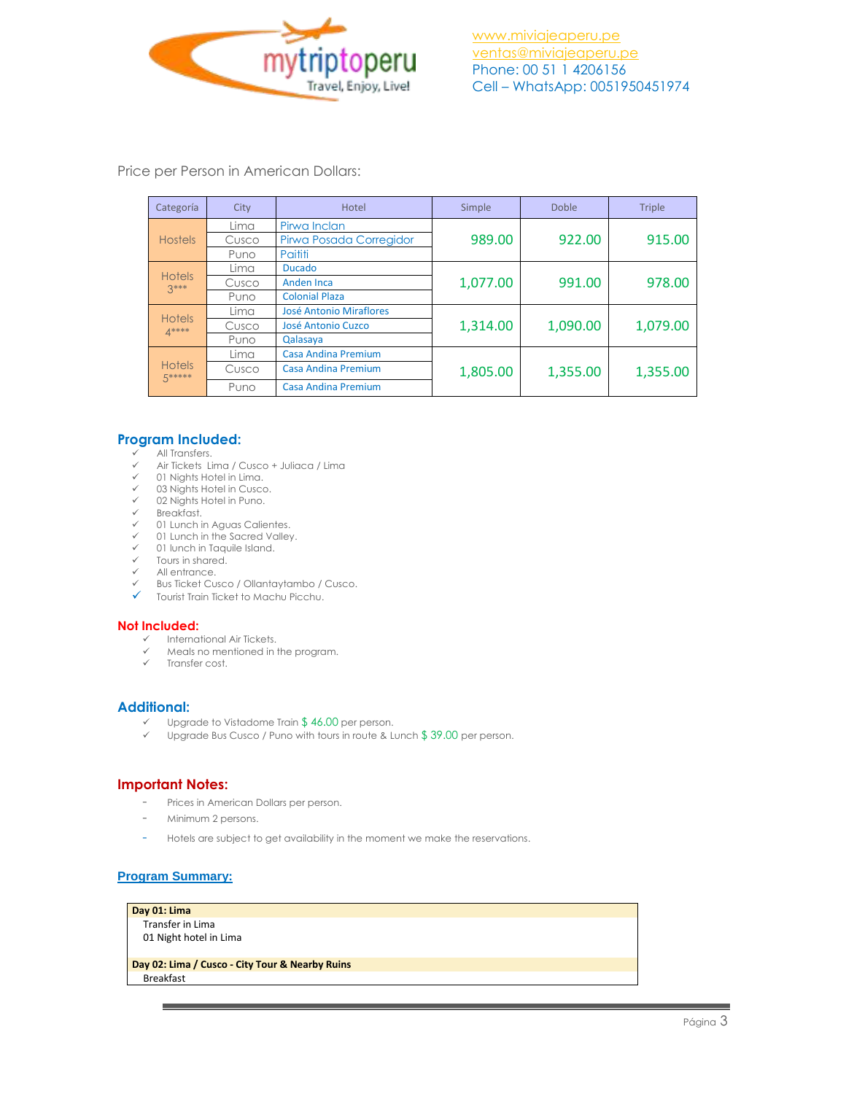

Price per Person in American Dollars:

| Categoría               | City  | Hotel                          | Simple   | <b>Doble</b> | <b>Triple</b> |
|-------------------------|-------|--------------------------------|----------|--------------|---------------|
| <b>Hostels</b>          | Lima  | Pirwa Inclan                   | 989.00   | 922.00       | 915.00        |
|                         | Cusco | Pirwa Posada Corregidor        |          |              |               |
|                         | Puno  | Paititi                        |          |              |               |
| <b>Hotels</b><br>$2***$ | Lima  | <b>Ducado</b>                  | 1,077.00 | 991.00       | 978.00        |
|                         | Cusco | Anden Inca                     |          |              |               |
|                         | Puno  | <b>Colonial Plaza</b>          |          |              |               |
| <b>Hotels</b><br>$A***$ | Lima  | <b>José Antonio Miraflores</b> | 1,314.00 | 1,090.00     | 1,079.00      |
|                         | Cusco | José Antonio Cuzco             |          |              |               |
|                         | Puno  | Qalasaya                       |          |              |               |
| <b>Hotels</b><br>5***** | Lima  | Casa Andina Premium            | 1,805.00 | 1,355.00     | 1,355.00      |
|                         | Cusco | Casa Andina Premium            |          |              |               |
|                         | Puno  | <b>Casa Andina Premium</b>     |          |              |               |

## **Program Included:**

- All Transfers.
- $\checkmark$  Air Tickets Lima / Cusco + Juliaca / Lima
- 01 Nights Hotel in Lima.
- $\times$  03 Nights Hotel in Cusco. 02 Nights Hotel in Puno.
- 
- $\checkmark$  Breakfast.<br> $\checkmark$  01 Lunch in
- 01 Lunch in Aguas Calientes.
- $\checkmark$  01 Lunch in the Sacred Valley.<br> $\checkmark$  01 lunch in Taquile Island 01 lunch in Taquile Island.
- $\checkmark$  Tours in shared.
- $\checkmark$  All entrance.<br> $\checkmark$  Bus Ticket Cus
- Bus Ticket Cusco / Ollantaytambo / Cusco.
- Tourist Train Ticket to Machu Picchu.

## **Not Included:**

- $\checkmark$  International Air Tickets.
- Meals no mentioned in the program.
- $\checkmark$  Transfer cost.

# **Additional:**

- $\checkmark$  Upgrade to Vistadome Train \$46.00 per person.<br> $\checkmark$  Upgrade Bus Cusco / Puno with tours in route 8.1
- Upgrade Bus Cusco / Puno with tours in route & Lunch \$ 39.00 per person.

## **Important Notes:**

- Prices in American Dollars per person.
- Minimum 2 persons.
- Hotels are subject to get availability in the moment we make the reservations.

## **Program Summary:**

**Day 01: Lima** Transfer in Lima 01 Night hotel in Lima

**Day 02: Lima / Cusco - City Tour & Nearby Ruins** Breakfast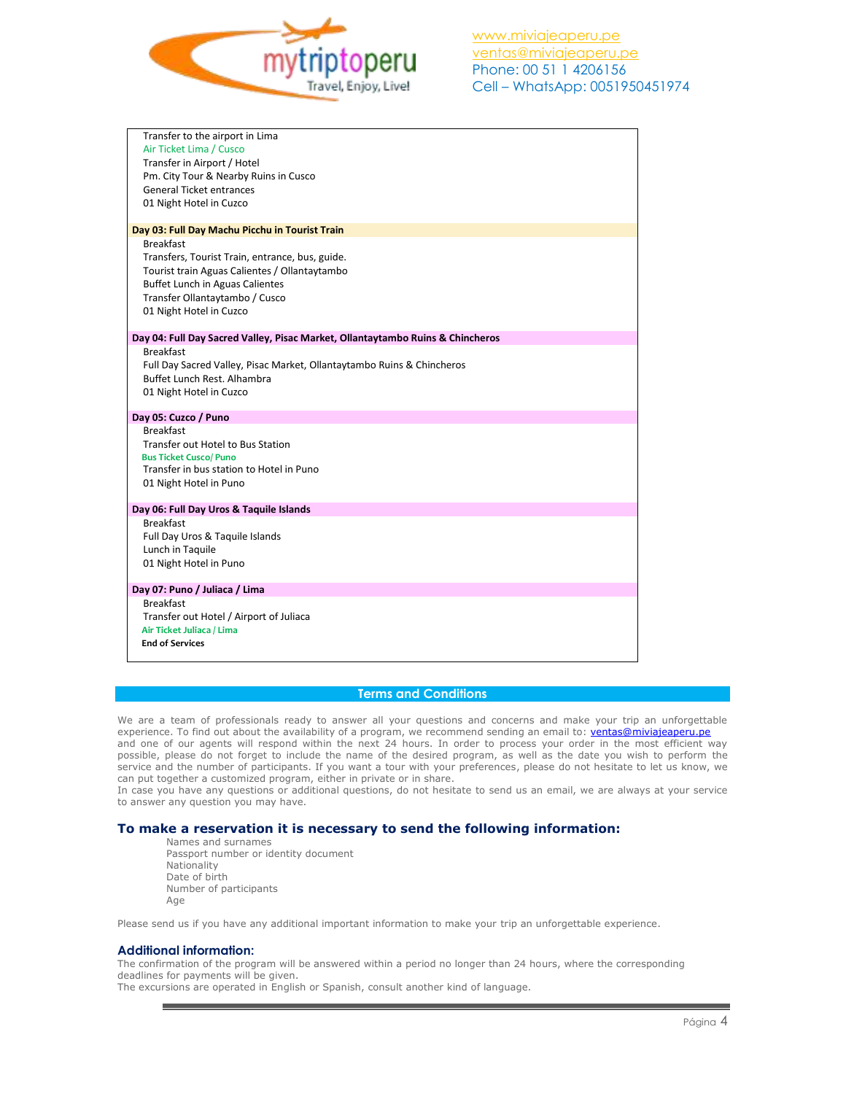

| Transfer to the airport in Lima                                                |  |
|--------------------------------------------------------------------------------|--|
| Air Ticket Lima / Cusco                                                        |  |
| Transfer in Airport / Hotel                                                    |  |
| Pm. City Tour & Nearby Ruins in Cusco                                          |  |
| <b>General Ticket entrances</b>                                                |  |
| 01 Night Hotel in Cuzco                                                        |  |
|                                                                                |  |
| Day 03: Full Day Machu Picchu in Tourist Train                                 |  |
| <b>Breakfast</b>                                                               |  |
| Transfers, Tourist Train, entrance, bus, guide.                                |  |
| Tourist train Aguas Calientes / Ollantaytambo                                  |  |
| <b>Buffet Lunch in Aguas Calientes</b>                                         |  |
| Transfer Ollantaytambo / Cusco                                                 |  |
| 01 Night Hotel in Cuzco                                                        |  |
| Day 04: Full Day Sacred Valley, Pisac Market, Ollantaytambo Ruins & Chincheros |  |
| <b>Breakfast</b>                                                               |  |
| Full Day Sacred Valley, Pisac Market, Ollantaytambo Ruins & Chincheros         |  |
| Buffet Lunch Rest. Alhambra                                                    |  |
| 01 Night Hotel in Cuzco                                                        |  |
|                                                                                |  |
| Day 05: Cuzco / Puno                                                           |  |
| <b>Breakfast</b>                                                               |  |
| Transfer out Hotel to Bus Station                                              |  |
| <b>Bus Ticket Cusco/ Puno</b>                                                  |  |
| Transfer in bus station to Hotel in Puno                                       |  |
| 01 Night Hotel in Puno                                                         |  |
|                                                                                |  |
| Day 06: Full Day Uros & Taquile Islands<br><b>Breakfast</b>                    |  |
| Full Day Uros & Taquile Islands                                                |  |
| Lunch in Taquile                                                               |  |
| 01 Night Hotel in Puno                                                         |  |
|                                                                                |  |
| Day 07: Puno / Juliaca / Lima                                                  |  |
| <b>Breakfast</b>                                                               |  |
| Transfer out Hotel / Airport of Juliaca                                        |  |
| Air Ticket Juliaca / Lima                                                      |  |
| <b>End of Services</b>                                                         |  |
|                                                                                |  |

## **Terms and Conditions**

We are a team of professionals ready to answer all your questions and concerns and make your trip an unforgettable experience. To find out about the availability of a program, we recommend sending an email to: [ventas@miviajeaperu.pe](mailto:ventas@miviajeaperu.pe) and one of our agents will respond within the next 24 hours. In order to process your order in the most efficient way possible, please do not forget to include the name of the desired program, as well as the date you wish to perform the service and the number of participants. If you want a tour with your preferences, please do not hesitate to let us know, we can put together a customized program, either in private or in share.

In case you have any questions or additional questions, do not hesitate to send us an email, we are always at your service to answer any question you may have.

## **To make a reservation it is necessary to send the following information:**

Names and surnames Passport number or identity document Nationality Date of birth Number of participants Age

Please send us if you have any additional important information to make your trip an unforgettable experience.

#### **Additional information:**

The confirmation of the program will be answered within a period no longer than 24 hours, where the corresponding deadlines for payments will be given.

The excursions are operated in English or Spanish, consult another kind of language.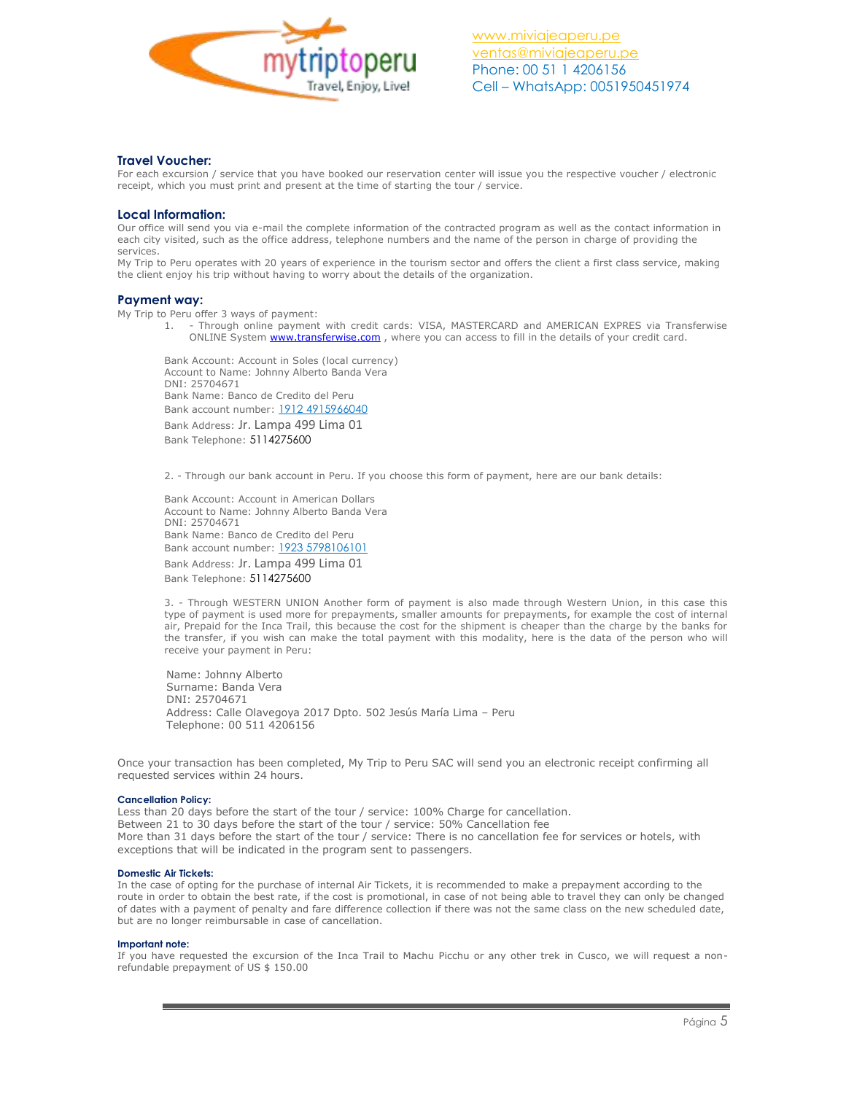

## **Travel Voucher:**

For each excursion / service that you have booked our reservation center will issue you the respective voucher / electronic receipt, which you must print and present at the time of starting the tour / service.

### **Local Information:**

Our office will send you via e-mail the complete information of the contracted program as well as the contact information in each city visited, such as the office address, telephone numbers and the name of the person in charge of providing the services.

My Trip to Peru operates with 20 years of experience in the tourism sector and offers the client a first class service, making the client enjoy his trip without having to worry about the details of the organization.

#### **Payment way:**

My Trip to Peru offer 3 ways of payment:

1. - Through online payment with credit cards: VISA, MASTERCARD and AMERICAN EXPRES via Transferwise ONLINE System **www.transferwise.com**, where you can access to fill in the details of your credit card.

Bank Account: Account in Soles (local currency) Account to Name: Johnny Alberto Banda Vera DNI: 25704671 Bank Name: Banco de Credito del Peru Bank account number: 1912 4915966040 Bank Address: Jr. Lampa 499 Lima 01

Bank Telephone: 5114275600

2. - Through our bank account in Peru. If you choose this form of payment, here are our bank details:

Bank Account: Account in American Dollars Account to Name: Johnny Alberto Banda Vera DNI: 25704671 Bank Name: Banco de Credito del Peru Bank account number: 1923 5798106101

Bank Address: Jr. Lampa 499 Lima 01 Bank Telephone: 5114275600

3. - Through WESTERN UNION Another form of payment is also made through Western Union, in this case this type of payment is used more for prepayments, smaller amounts for prepayments, for example the cost of internal air, Prepaid for the Inca Trail, this because the cost for the shipment is cheaper than the charge by the banks for the transfer, if you wish can make the total payment with this modality, here is the data of the person who will receive your payment in Peru:

 Name: Johnny Alberto Surname: Banda Vera DNI: 25704671 Address: Calle Olavegoya 2017 Dpto. 502 Jesús María Lima – Peru Telephone: 00 511 4206156

Once your transaction has been completed, My Trip to Peru SAC will send you an electronic receipt confirming all requested services within 24 hours.

#### **Cancellation Policy:**

Less than 20 days before the start of the tour / service: 100% Charge for cancellation. Between 21 to 30 days before the start of the tour / service: 50% Cancellation fee More than 31 days before the start of the tour / service: There is no cancellation fee for services or hotels, with exceptions that will be indicated in the program sent to passengers.

#### **Domestic Air Tickets:**

In the case of opting for the purchase of internal Air Tickets, it is recommended to make a prepayment according to the route in order to obtain the best rate, if the cost is promotional, in case of not being able to travel they can only be changed of dates with a payment of penalty and fare difference collection if there was not the same class on the new scheduled date, but are no longer reimbursable in case of cancellation.

#### **Important note:**

If you have requested the excursion of the Inca Trail to Machu Picchu or any other trek in Cusco, we will request a nonrefundable prepayment of US \$ 150.00